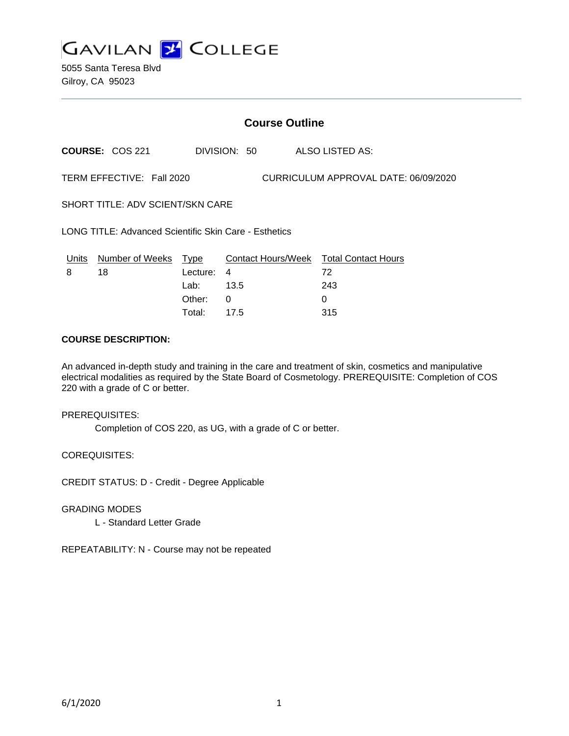

5055 Santa Teresa Blvd Gilroy, CA 95023

# **Course Outline**

**COURSE:** COS 221 DIVISION: 50 ALSO LISTED AS:

TERM EFFECTIVE: Fall 2020 CURRICULUM APPROVAL DATE: 06/09/2020

SHORT TITLE: ADV SCIENT/SKN CARE

LONG TITLE: Advanced Scientific Skin Care - Esthetics

| Units | Number of Weeks Type |            | Contact Hours/Week Total Contact Hours |     |
|-------|----------------------|------------|----------------------------------------|-----|
| 8     | 18                   | Lecture: 4 |                                        | 72  |
|       |                      | Lab: _     | 13.5                                   | 243 |
|       |                      | Other: 0   |                                        |     |
|       |                      | Total:     | 17.5                                   | 315 |

## **COURSE DESCRIPTION:**

An advanced in-depth study and training in the care and treatment of skin, cosmetics and manipulative electrical modalities as required by the State Board of Cosmetology. PREREQUISITE: Completion of COS 220 with a grade of C or better.

PREREQUISITES:

Completion of COS 220, as UG, with a grade of C or better.

COREQUISITES:

CREDIT STATUS: D - Credit - Degree Applicable

GRADING MODES

L - Standard Letter Grade

REPEATABILITY: N - Course may not be repeated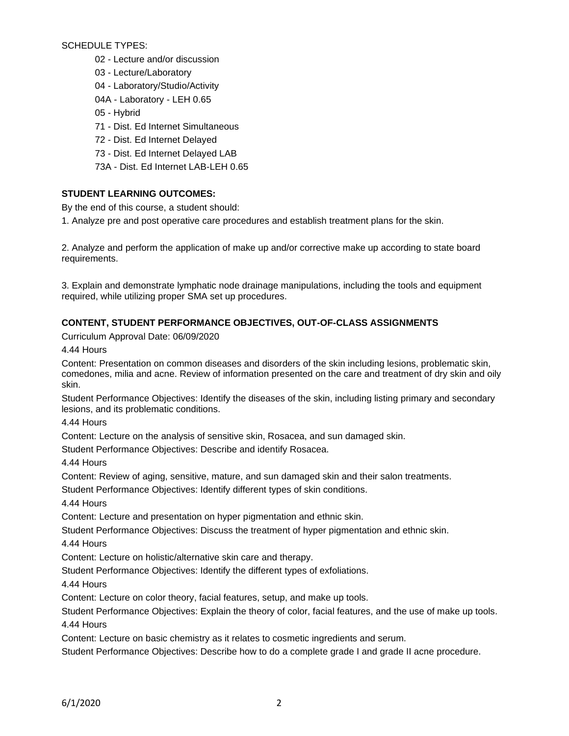SCHEDULE TYPES:

- 02 Lecture and/or discussion
- 03 Lecture/Laboratory
- 04 Laboratory/Studio/Activity
- 04A Laboratory LEH 0.65
- 05 Hybrid
- 71 Dist. Ed Internet Simultaneous
- 72 Dist. Ed Internet Delayed
- 73 Dist. Ed Internet Delayed LAB
- 73A Dist. Ed Internet LAB-LEH 0.65

## **STUDENT LEARNING OUTCOMES:**

By the end of this course, a student should:

1. Analyze pre and post operative care procedures and establish treatment plans for the skin.

2. Analyze and perform the application of make up and/or corrective make up according to state board requirements.

3. Explain and demonstrate lymphatic node drainage manipulations, including the tools and equipment required, while utilizing proper SMA set up procedures.

# **CONTENT, STUDENT PERFORMANCE OBJECTIVES, OUT-OF-CLASS ASSIGNMENTS**

Curriculum Approval Date: 06/09/2020

4.44 Hours

Content: Presentation on common diseases and disorders of the skin including lesions, problematic skin, comedones, milia and acne. Review of information presented on the care and treatment of dry skin and oily skin.

Student Performance Objectives: Identify the diseases of the skin, including listing primary and secondary lesions, and its problematic conditions.

4.44 Hours

Content: Lecture on the analysis of sensitive skin, Rosacea, and sun damaged skin.

Student Performance Objectives: Describe and identify Rosacea.

4.44 Hours

Content: Review of aging, sensitive, mature, and sun damaged skin and their salon treatments.

Student Performance Objectives: Identify different types of skin conditions.

4.44 Hours

Content: Lecture and presentation on hyper pigmentation and ethnic skin.

Student Performance Objectives: Discuss the treatment of hyper pigmentation and ethnic skin.

4.44 Hours

Content: Lecture on holistic/alternative skin care and therapy.

Student Performance Objectives: Identify the different types of exfoliations.

4.44 Hours

Content: Lecture on color theory, facial features, setup, and make up tools.

Student Performance Objectives: Explain the theory of color, facial features, and the use of make up tools. 4.44 Hours

Content: Lecture on basic chemistry as it relates to cosmetic ingredients and serum.

Student Performance Objectives: Describe how to do a complete grade I and grade II acne procedure.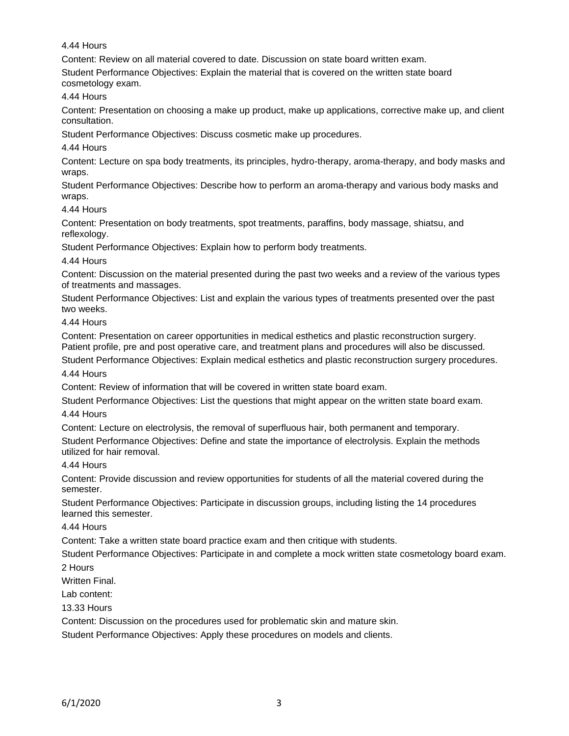4.44 Hours

Content: Review on all material covered to date. Discussion on state board written exam.

Student Performance Objectives: Explain the material that is covered on the written state board cosmetology exam.

4.44 Hours

Content: Presentation on choosing a make up product, make up applications, corrective make up, and client consultation.

Student Performance Objectives: Discuss cosmetic make up procedures.

# 4.44 Hours

Content: Lecture on spa body treatments, its principles, hydro-therapy, aroma-therapy, and body masks and wraps.

Student Performance Objectives: Describe how to perform an aroma-therapy and various body masks and wraps.

4.44 Hours

Content: Presentation on body treatments, spot treatments, paraffins, body massage, shiatsu, and reflexology.

Student Performance Objectives: Explain how to perform body treatments.

4.44 Hours

Content: Discussion on the material presented during the past two weeks and a review of the various types of treatments and massages.

Student Performance Objectives: List and explain the various types of treatments presented over the past two weeks.

4.44 Hours

Content: Presentation on career opportunities in medical esthetics and plastic reconstruction surgery. Patient profile, pre and post operative care, and treatment plans and procedures will also be discussed.

Student Performance Objectives: Explain medical esthetics and plastic reconstruction surgery procedures. 4.44 Hours

Content: Review of information that will be covered in written state board exam.

Student Performance Objectives: List the questions that might appear on the written state board exam.

4.44 Hours

Content: Lecture on electrolysis, the removal of superfluous hair, both permanent and temporary. Student Performance Objectives: Define and state the importance of electrolysis. Explain the methods utilized for hair removal.

4.44 Hours

Content: Provide discussion and review opportunities for students of all the material covered during the semester.

Student Performance Objectives: Participate in discussion groups, including listing the 14 procedures learned this semester.

4.44 Hours

Content: Take a written state board practice exam and then critique with students.

Student Performance Objectives: Participate in and complete a mock written state cosmetology board exam.

2 Hours

Written Final.

Lab content:

13.33 Hours

Content: Discussion on the procedures used for problematic skin and mature skin.

Student Performance Objectives: Apply these procedures on models and clients.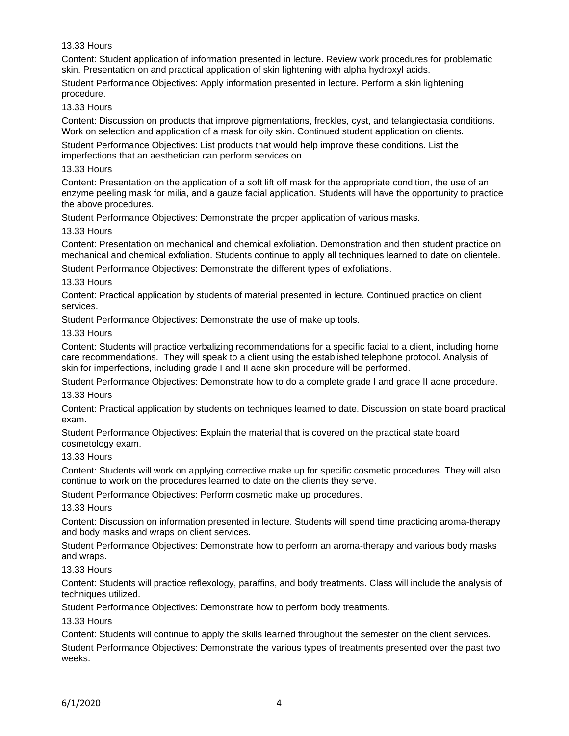## 13.33 Hours

Content: Student application of information presented in lecture. Review work procedures for problematic skin. Presentation on and practical application of skin lightening with alpha hydroxyl acids.

Student Performance Objectives: Apply information presented in lecture. Perform a skin lightening procedure.

#### 13.33 Hours

Content: Discussion on products that improve pigmentations, freckles, cyst, and telangiectasia conditions. Work on selection and application of a mask for oily skin. Continued student application on clients.

Student Performance Objectives: List products that would help improve these conditions. List the imperfections that an aesthetician can perform services on.

#### 13.33 Hours

Content: Presentation on the application of a soft lift off mask for the appropriate condition, the use of an enzyme peeling mask for milia, and a gauze facial application. Students will have the opportunity to practice the above procedures.

Student Performance Objectives: Demonstrate the proper application of various masks.

#### 13.33 Hours

Content: Presentation on mechanical and chemical exfoliation. Demonstration and then student practice on mechanical and chemical exfoliation. Students continue to apply all techniques learned to date on clientele.

Student Performance Objectives: Demonstrate the different types of exfoliations.

## 13.33 Hours

Content: Practical application by students of material presented in lecture. Continued practice on client services.

Student Performance Objectives: Demonstrate the use of make up tools.

#### 13.33 Hours

Content: Students will practice verbalizing recommendations for a specific facial to a client, including home care recommendations. They will speak to a client using the established telephone protocol. Analysis of skin for imperfections, including grade I and II acne skin procedure will be performed.

Student Performance Objectives: Demonstrate how to do a complete grade I and grade II acne procedure. 13.33 Hours

Content: Practical application by students on techniques learned to date. Discussion on state board practical exam.

Student Performance Objectives: Explain the material that is covered on the practical state board cosmetology exam.

## 13.33 Hours

Content: Students will work on applying corrective make up for specific cosmetic procedures. They will also continue to work on the procedures learned to date on the clients they serve.

Student Performance Objectives: Perform cosmetic make up procedures.

#### 13.33 Hours

Content: Discussion on information presented in lecture. Students will spend time practicing aroma-therapy and body masks and wraps on client services.

Student Performance Objectives: Demonstrate how to perform an aroma-therapy and various body masks and wraps.

#### 13.33 Hours

Content: Students will practice reflexology, paraffins, and body treatments. Class will include the analysis of techniques utilized.

Student Performance Objectives: Demonstrate how to perform body treatments.

#### 13.33 Hours

Content: Students will continue to apply the skills learned throughout the semester on the client services. Student Performance Objectives: Demonstrate the various types of treatments presented over the past two weeks.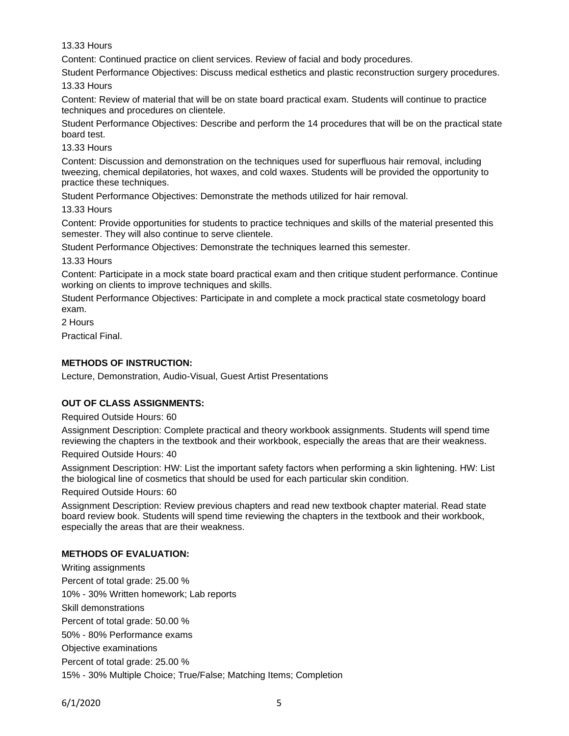13.33 Hours

Content: Continued practice on client services. Review of facial and body procedures.

Student Performance Objectives: Discuss medical esthetics and plastic reconstruction surgery procedures.

13.33 Hours

Content: Review of material that will be on state board practical exam. Students will continue to practice techniques and procedures on clientele.

Student Performance Objectives: Describe and perform the 14 procedures that will be on the practical state board test.

13.33 Hours

Content: Discussion and demonstration on the techniques used for superfluous hair removal, including tweezing, chemical depilatories, hot waxes, and cold waxes. Students will be provided the opportunity to practice these techniques.

Student Performance Objectives: Demonstrate the methods utilized for hair removal.

13.33 Hours

Content: Provide opportunities for students to practice techniques and skills of the material presented this semester. They will also continue to serve clientele.

Student Performance Objectives: Demonstrate the techniques learned this semester.

13.33 Hours

Content: Participate in a mock state board practical exam and then critique student performance. Continue working on clients to improve techniques and skills.

Student Performance Objectives: Participate in and complete a mock practical state cosmetology board exam.

2 Hours

Practical Final.

## **METHODS OF INSTRUCTION:**

Lecture, Demonstration, Audio-Visual, Guest Artist Presentations

## **OUT OF CLASS ASSIGNMENTS:**

Required Outside Hours: 60

Assignment Description: Complete practical and theory workbook assignments. Students will spend time reviewing the chapters in the textbook and their workbook, especially the areas that are their weakness.

Required Outside Hours: 40

Assignment Description: HW: List the important safety factors when performing a skin lightening. HW: List the biological line of cosmetics that should be used for each particular skin condition.

Required Outside Hours: 60

Assignment Description: Review previous chapters and read new textbook chapter material. Read state board review book. Students will spend time reviewing the chapters in the textbook and their workbook, especially the areas that are their weakness.

## **METHODS OF EVALUATION:**

Writing assignments Percent of total grade: 25.00 % 10% - 30% Written homework; Lab reports Skill demonstrations Percent of total grade: 50.00 % 50% - 80% Performance exams Objective examinations Percent of total grade: 25.00 % 15% - 30% Multiple Choice; True/False; Matching Items; Completion